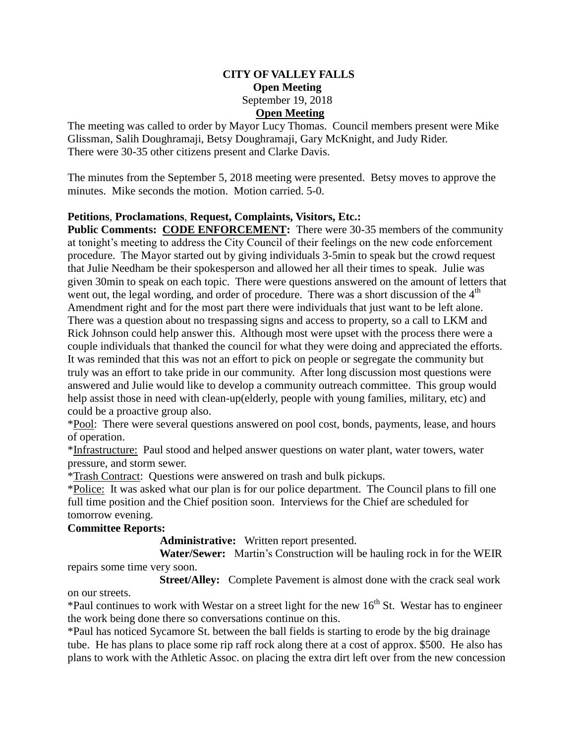## **CITY OF VALLEY FALLS Open Meeting** September 19, 2018 **Open Meeting**

The meeting was called to order by Mayor Lucy Thomas. Council members present were Mike Glissman, Salih Doughramaji, Betsy Doughramaji, Gary McKnight, and Judy Rider. There were 30-35 other citizens present and Clarke Davis.

The minutes from the September 5, 2018 meeting were presented. Betsy moves to approve the minutes. Mike seconds the motion. Motion carried. 5-0.

## **Petitions**, **Proclamations**, **Request, Complaints, Visitors, Etc.:**

Public Comments: CODE ENFORCEMENT: There were 30-35 members of the community at tonight's meeting to address the City Council of their feelings on the new code enforcement procedure. The Mayor started out by giving individuals 3-5min to speak but the crowd request that Julie Needham be their spokesperson and allowed her all their times to speak. Julie was given 30min to speak on each topic. There were questions answered on the amount of letters that went out, the legal wording, and order of procedure. There was a short discussion of the  $4<sup>th</sup>$ Amendment right and for the most part there were individuals that just want to be left alone. There was a question about no trespassing signs and access to property, so a call to LKM and Rick Johnson could help answer this. Although most were upset with the process there were a couple individuals that thanked the council for what they were doing and appreciated the efforts. It was reminded that this was not an effort to pick on people or segregate the community but truly was an effort to take pride in our community. After long discussion most questions were answered and Julie would like to develop a community outreach committee. This group would help assist those in need with clean-up(elderly, people with young families, military, etc) and could be a proactive group also.

\*Pool: There were several questions answered on pool cost, bonds, payments, lease, and hours of operation.

\*Infrastructure: Paul stood and helped answer questions on water plant, water towers, water pressure, and storm sewer.

\*Trash Contract: Questions were answered on trash and bulk pickups.

\*Police: It was asked what our plan is for our police department. The Council plans to fill one full time position and the Chief position soon. Interviews for the Chief are scheduled for tomorrow evening.

## **Committee Reports:**

**Administrative:** Written report presented.

 **Water/Sewer:** Martin's Construction will be hauling rock in for the WEIR repairs some time very soon.

 **Street/Alley:** Complete Pavement is almost done with the crack seal work on our streets.

\*Paul continues to work with Westar on a street light for the new  $16<sup>th</sup>$  St. Westar has to engineer the work being done there so conversations continue on this.

\*Paul has noticed Sycamore St. between the ball fields is starting to erode by the big drainage tube. He has plans to place some rip raff rock along there at a cost of approx. \$500. He also has plans to work with the Athletic Assoc. on placing the extra dirt left over from the new concession